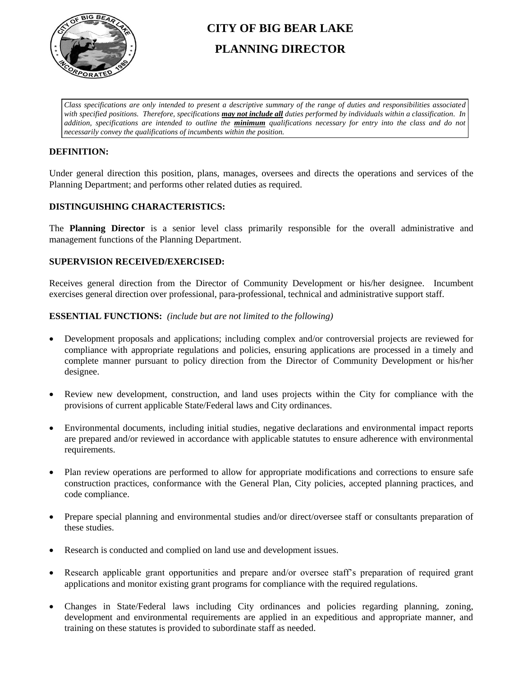

# **CITY OF BIG BEAR LAKE PLANNING DIRECTOR**

*Class specifications are only intended to present a descriptive summary of the range of duties and responsibilities associated with specified positions. Therefore, specifications may not include all duties performed by individuals within a classification. In addition, specifications are intended to outline the minimum qualifications necessary for entry into the class and do not necessarily convey the qualifications of incumbents within the position.*

## **DEFINITION:**

Under general direction this position, plans, manages, oversees and directs the operations and services of the Planning Department; and performs other related duties as required.

# **DISTINGUISHING CHARACTERISTICS:**

The **Planning Director** is a senior level class primarily responsible for the overall administrative and management functions of the Planning Department.

#### **SUPERVISION RECEIVED/EXERCISED:**

Receives general direction from the Director of Community Development or his/her designee. Incumbent exercises general direction over professional, para-professional, technical and administrative support staff.

#### **ESSENTIAL FUNCTIONS:** *(include but are not limited to the following)*

- Development proposals and applications; including complex and/or controversial projects are reviewed for compliance with appropriate regulations and policies, ensuring applications are processed in a timely and complete manner pursuant to policy direction from the Director of Community Development or his/her designee.
- Review new development, construction, and land uses projects within the City for compliance with the provisions of current applicable State/Federal laws and City ordinances.
- Environmental documents, including initial studies, negative declarations and environmental impact reports are prepared and/or reviewed in accordance with applicable statutes to ensure adherence with environmental requirements.
- Plan review operations are performed to allow for appropriate modifications and corrections to ensure safe construction practices, conformance with the General Plan, City policies, accepted planning practices, and code compliance.
- Prepare special planning and environmental studies and/or direct/oversee staff or consultants preparation of these studies.
- Research is conducted and complied on land use and development issues.
- Research applicable grant opportunities and prepare and/or oversee staff's preparation of required grant applications and monitor existing grant programs for compliance with the required regulations.
- Changes in State/Federal laws including City ordinances and policies regarding planning, zoning, development and environmental requirements are applied in an expeditious and appropriate manner, and training on these statutes is provided to subordinate staff as needed.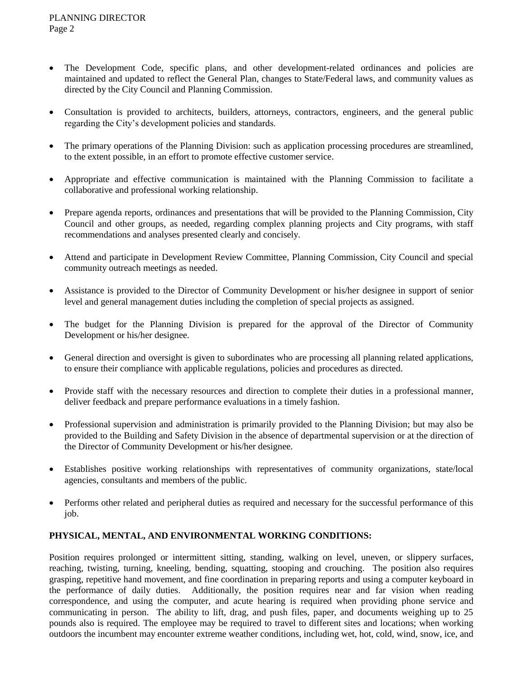- The Development Code, specific plans, and other development-related ordinances and policies are maintained and updated to reflect the General Plan, changes to State/Federal laws, and community values as directed by the City Council and Planning Commission.
- Consultation is provided to architects, builders, attorneys, contractors, engineers, and the general public regarding the City's development policies and standards.
- The primary operations of the Planning Division: such as application processing procedures are streamlined, to the extent possible, in an effort to promote effective customer service.
- Appropriate and effective communication is maintained with the Planning Commission to facilitate a collaborative and professional working relationship.
- Prepare agenda reports, ordinances and presentations that will be provided to the Planning Commission, City Council and other groups, as needed, regarding complex planning projects and City programs, with staff recommendations and analyses presented clearly and concisely.
- Attend and participate in Development Review Committee, Planning Commission, City Council and special community outreach meetings as needed.
- Assistance is provided to the Director of Community Development or his/her designee in support of senior level and general management duties including the completion of special projects as assigned.
- The budget for the Planning Division is prepared for the approval of the Director of Community Development or his/her designee.
- General direction and oversight is given to subordinates who are processing all planning related applications, to ensure their compliance with applicable regulations, policies and procedures as directed.
- Provide staff with the necessary resources and direction to complete their duties in a professional manner, deliver feedback and prepare performance evaluations in a timely fashion.
- Professional supervision and administration is primarily provided to the Planning Division; but may also be provided to the Building and Safety Division in the absence of departmental supervision or at the direction of the Director of Community Development or his/her designee.
- Establishes positive working relationships with representatives of community organizations, state/local agencies, consultants and members of the public.
- Performs other related and peripheral duties as required and necessary for the successful performance of this job.

#### **PHYSICAL, MENTAL, AND ENVIRONMENTAL WORKING CONDITIONS:**

Position requires prolonged or intermittent sitting, standing, walking on level, uneven, or slippery surfaces, reaching, twisting, turning, kneeling, bending, squatting, stooping and crouching. The position also requires grasping, repetitive hand movement, and fine coordination in preparing reports and using a computer keyboard in the performance of daily duties. Additionally, the position requires near and far vision when reading correspondence, and using the computer, and acute hearing is required when providing phone service and communicating in person. The ability to lift, drag, and push files, paper, and documents weighing up to 25 pounds also is required. The employee may be required to travel to different sites and locations; when working outdoors the incumbent may encounter extreme weather conditions, including wet, hot, cold, wind, snow, ice, and